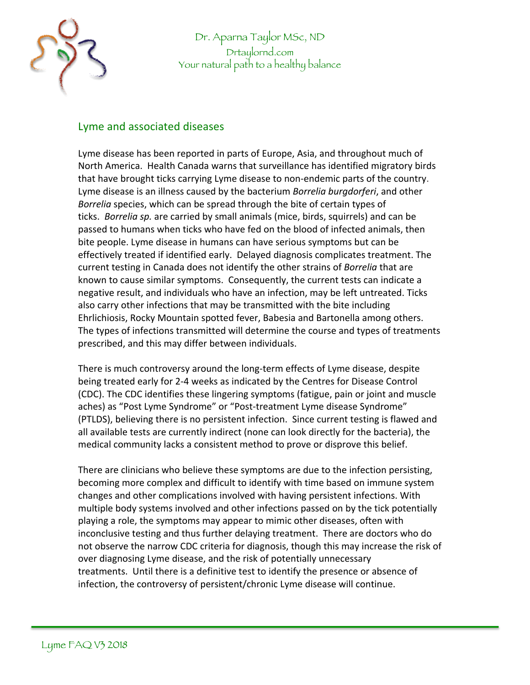

Dr. Aparna Taylor MSc, ND Drtaylornd.com Your natural path to a healthy balance

## Lyme and associated diseases

Lyme disease has been reported in parts of Europe, Asia, and throughout much of North America. Health Canada warns that surveillance has identified migratory birds that have brought ticks carrying Lyme disease to non-endemic parts of the country. Lyme disease is an illness caused by the bacterium *Borrelia burgdorferi*, and other *Borrelia* species, which can be spread through the bite of certain types of ticks. *Borrelia sp.* are carried by small animals (mice, birds, squirrels) and can be passed to humans when ticks who have fed on the blood of infected animals, then bite people. Lyme disease in humans can have serious symptoms but can be effectively treated if identified early. Delayed diagnosis complicates treatment. The current testing in Canada does not identify the other strains of *Borrelia* that are known to cause similar symptoms. Consequently, the current tests can indicate a negative result, and individuals who have an infection, may be left untreated. Ticks also carry other infections that may be transmitted with the bite including Ehrlichiosis, Rocky Mountain spotted fever, Babesia and Bartonella among others. The types of infections transmitted will determine the course and types of treatments prescribed, and this may differ between individuals.

There is much controversy around the long-term effects of Lyme disease, despite being treated early for 2-4 weeks as indicated by the Centres for Disease Control (CDC). The CDC identifies these lingering symptoms (fatigue, pain or joint and muscle aches) as "Post Lyme Syndrome" or "Post-treatment Lyme disease Syndrome" (PTLDS), believing there is no persistent infection. Since current testing is flawed and all available tests are currently indirect (none can look directly for the bacteria), the medical community lacks a consistent method to prove or disprove this belief.

There are clinicians who believe these symptoms are due to the infection persisting, becoming more complex and difficult to identify with time based on immune system changes and other complications involved with having persistent infections. With multiple body systems involved and other infections passed on by the tick potentially playing a role, the symptoms may appear to mimic other diseases, often with inconclusive testing and thus further delaying treatment. There are doctors who do not observe the narrow CDC criteria for diagnosis, though this may increase the risk of over diagnosing Lyme disease, and the risk of potentially unnecessary treatments. Until there is a definitive test to identify the presence or absence of infection, the controversy of persistent/chronic Lyme disease will continue.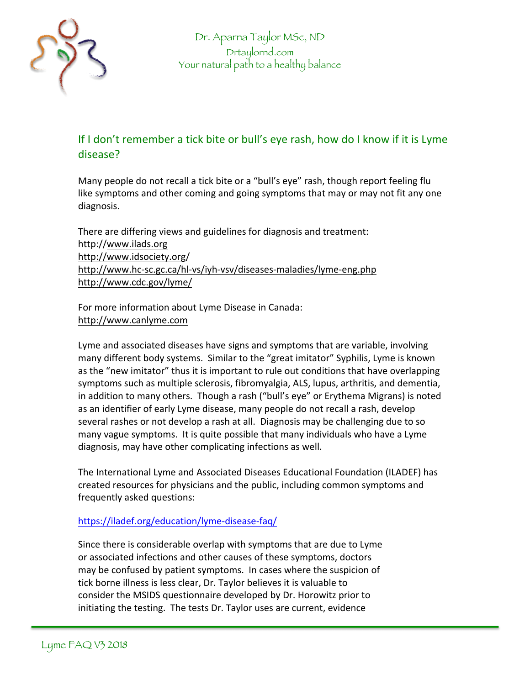

## If I don't remember a tick bite or bull's eye rash, how do I know if it is Lyme disease?

Many people do not recall a tick bite or a "bull's eye" rash, though report feeling flu like symptoms and other coming and going symptoms that may or may not fit any one diagnosis.

There are differing views and guidelines for diagnosis and treatment: http://www.ilads.org http://www.idsociety.org/ http://www.hc-sc.gc.ca/hl-vs/iyh-vsv/diseases-maladies/lyme-eng.php http://www.cdc.gov/lyme/

For more information about Lyme Disease in Canada: http://www.canlyme.com

Lyme and associated diseases have signs and symptoms that are variable, involving many different body systems. Similar to the "great imitator" Syphilis, Lyme is known as the "new imitator" thus it is important to rule out conditions that have overlapping symptoms such as multiple sclerosis, fibromyalgia, ALS, lupus, arthritis, and dementia, in addition to many others. Though a rash ("bull's eye" or Erythema Migrans) is noted as an identifier of early Lyme disease, many people do not recall a rash, develop several rashes or not develop a rash at all. Diagnosis may be challenging due to so many vague symptoms. It is quite possible that many individuals who have a Lyme diagnosis, may have other complicating infections as well.

The International Lyme and Associated Diseases Educational Foundation (ILADEF) has created resources for physicians and the public, including common symptoms and frequently asked questions:

## https://iladef.org/education/lyme-disease-faq/

Since there is considerable overlap with symptoms that are due to Lyme or associated infections and other causes of these symptoms, doctors may be confused by patient symptoms. In cases where the suspicion of tick borne illness is less clear, Dr. Taylor believes it is valuable to consider the MSIDS questionnaire developed by Dr. Horowitz prior to initiating the testing. The tests Dr. Taylor uses are current, evidence